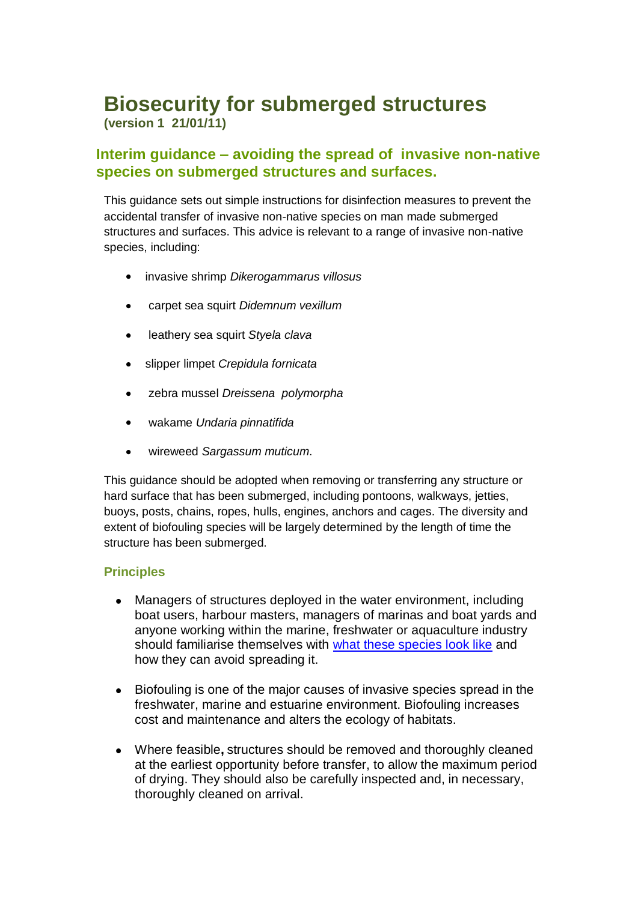# **Biosecurity for submerged structures (version 1 21/01/11)**

## **Interim guidance – avoiding the spread of invasive non-native species on submerged structures and surfaces.**

This guidance sets out simple instructions for disinfection measures to prevent the accidental transfer of invasive non-native species on man made submerged structures and surfaces. This advice is relevant to a range of invasive non-native species, including:

- invasive shrimp *Dikerogammarus villosus*
- carpet sea squirt *Didemnum vexillum*
- leathery sea squirt *Styela clava*
- slipper limpet *Crepidula fornicata*
- zebra mussel *Dreissena polymorpha*  $\bullet$
- wakame *Undaria pinnatifida*
- wireweed *Sargassum muticum*.

This guidance should be adopted when removing or transferring any structure or hard surface that has been submerged, including pontoons, walkways, jetties, buoys, posts, chains, ropes, hulls, engines, anchors and cages. The diversity and extent of biofouling species will be largely determined by the length of time the structure has been submerged.

#### **Principles**

- Managers of structures deployed in the water environment, including  $\bullet$ boat users, harbour masters, managers of marinas and boat yards and anyone working within the marine, freshwater or aquaculture industry should familiarise themselves with [what these species](https://secure.fera.defra.gov.uk/nonnativespecies/index.cfm?sectionid=47) look like and how they can avoid spreading it.
- Biofouling is one of the major causes of invasive species spread in the  $\bullet$ freshwater, marine and estuarine environment. Biofouling increases cost and maintenance and alters the ecology of habitats.
- Where feasible**,** structures should be removed and thoroughly cleaned at the earliest opportunity before transfer, to allow the maximum period of drying. They should also be carefully inspected and, in necessary, thoroughly cleaned on arrival.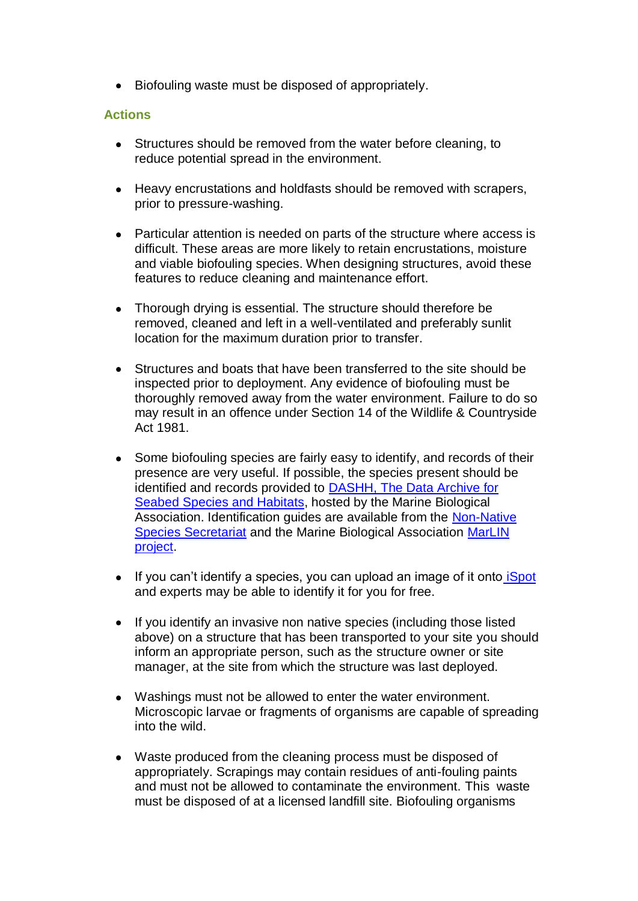• Biofouling waste must be disposed of appropriately.

#### **Actions**

- Structures should be removed from the water before cleaning, to reduce potential spread in the environment.
- Heavy encrustations and holdfasts should be removed with scrapers, prior to pressure-washing.
- Particular attention is needed on parts of the structure where access is difficult. These areas are more likely to retain encrustations, moisture and viable biofouling species. When designing structures, avoid these features to reduce cleaning and maintenance effort.
- Thorough drying is essential. The structure should therefore be  $\bullet$ removed, cleaned and left in a well-ventilated and preferably sunlit location for the maximum duration prior to transfer.
- Structures and boats that have been transferred to the site should be inspected prior to deployment. Any evidence of biofouling must be thoroughly removed away from the water environment. Failure to do so may result in an offence under Section 14 of the Wildlife & Countryside Act 1981.
- Some biofouling species are fairly easy to identify, and records of their  $\bullet$ presence are very useful. If possible, the species present should be identified and records provided to **DASHH**, The Data Archive for [Seabed Species and Habitats,](http://www.hydra-institute.com/en/index.php) hosted by the Marine Biological Association. Identification guides are available from the [Non-Native](https://secure.fera.defra.gov.uk/nonnativespecies/index.cfm?sectionid=47)  [Species Secretariat](https://secure.fera.defra.gov.uk/nonnativespecies/index.cfm?sectionid=47) and the Marine Biological Association [MarLIN](http://www.marlin.ac.uk/)  [project.](http://www.marlin.ac.uk/)
- If you can't identify a species, you can upload an image of it onto **Spot**  $\bullet$ and experts may be able to identify it for you for free.
- $\bullet$ If you identify an invasive non native species (including those listed above) on a structure that has been transported to your site you should inform an appropriate person, such as the structure owner or site manager, at the site from which the structure was last deployed.
- Washings must not be allowed to enter the water environment.  $\bullet$ Microscopic larvae or fragments of organisms are capable of spreading into the wild.
- Waste produced from the cleaning process must be disposed of appropriately. Scrapings may contain residues of anti-fouling paints and must not be allowed to contaminate the environment. This waste must be disposed of at a licensed landfill site. Biofouling organisms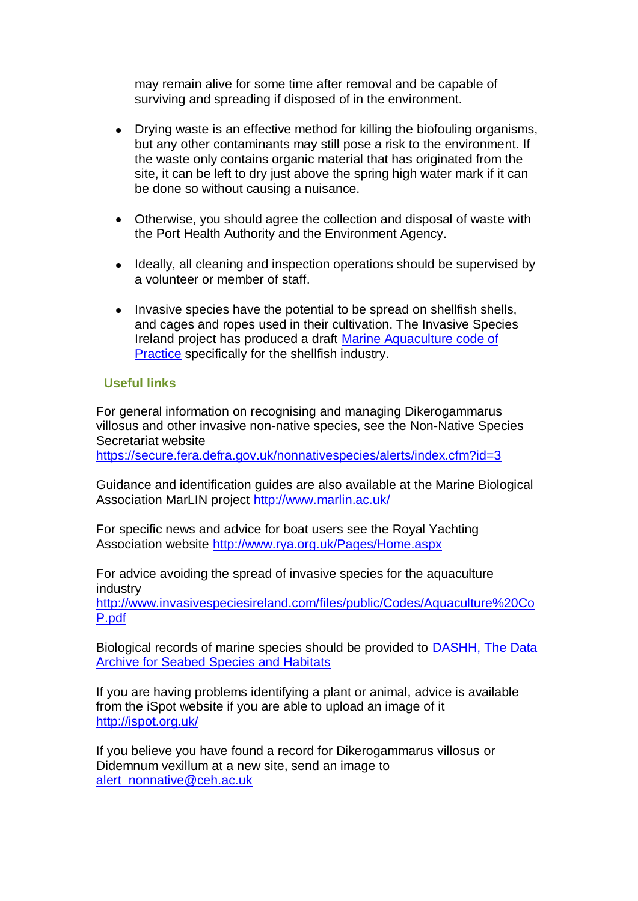may remain alive for some time after removal and be capable of surviving and spreading if disposed of in the environment.

- Drying waste is an effective method for killing the biofouling organisms, but any other contaminants may still pose a risk to the environment. If the waste only contains organic material that has originated from the site, it can be left to dry just above the spring high water mark if it can be done so without causing a nuisance.
- Otherwise, you should agree the collection and disposal of waste with  $\bullet$ the Port Health Authority and the Environment Agency.
- Ideally, all cleaning and inspection operations should be supervised by  $\bullet$ a volunteer or member of staff.
- $\bullet$ Invasive species have the potential to be spread on shellfish shells, and cages and ropes used in their cultivation. The Invasive Species Ireland project has produced a draft [Marine Aquaculture code of](http://www.invasivespeciesireland.com/files/public/Codes/Aquaculture%20CoP.pdf)  [Practice](http://www.invasivespeciesireland.com/files/public/Codes/Aquaculture%20CoP.pdf) specifically for the shellfish industry.

### **Useful links**

For general information on recognising and managing Dikerogammarus villosus and other invasive non-native species, see the Non-Native Species Secretariat website

<https://secure.fera.defra.gov.uk/nonnativespecies/alerts/index.cfm?id=3>

Guidance and identification guides are also available at the Marine Biological Association MarLIN project<http://www.marlin.ac.uk/>

For specific news and advice for boat users see the Royal Yachting Association website<http://www.rya.org.uk/Pages/Home.aspx>

For advice avoiding the spread of invasive species for the aquaculture industry [http://www.invasivespeciesireland.com/files/public/Codes/Aquaculture%20Co](http://www.invasivespeciesireland.com/files/public/Codes/Aquaculture%20CoP.pdf) [P.pdf](http://www.invasivespeciesireland.com/files/public/Codes/Aquaculture%20CoP.pdf)

Biological records of marine species should be provided to [DASHH, The Data](http://www.dassh.ac.uk/)  [Archive for Seabed Species and Habitats](http://www.dassh.ac.uk/)

If you are having problems identifying a plant or animal, advice is available from the iSpot website if you are able to upload an image of it <http://ispot.org.uk/>

If you believe you have found a record for Dikerogammarus villosus or Didemnum vexillum at a new site, send an image to [alert\\_nonnative@ceh.ac.uk](mailto:alert_nonnative@ceh.ac.uk)